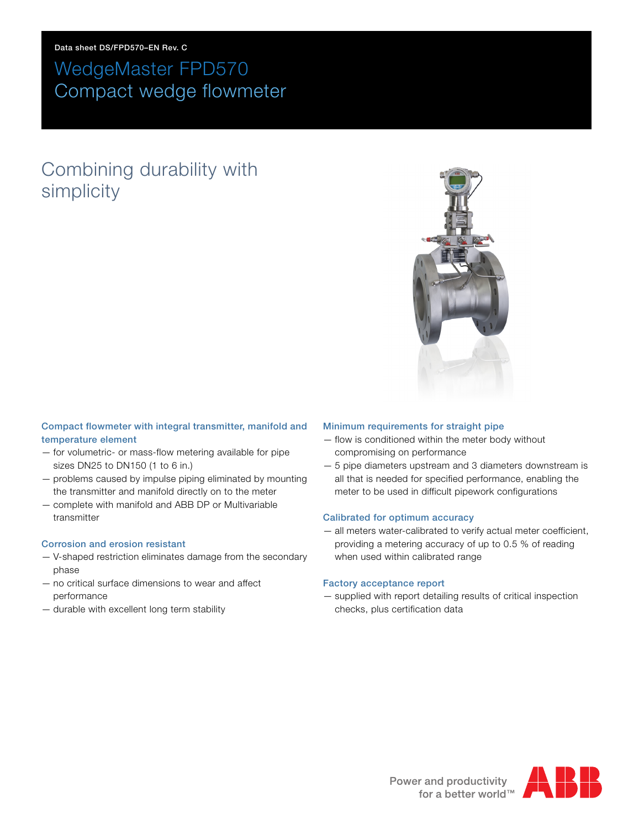**Data sheet DS/FPD570–EN Rev. C**

# WedgeMaster FPD570 Compact wedge flowmeter

# Combining durability with simplicity



#### **Compact flowmeter with integral transmitter, manifold and temperature element**

- for volumetric- or mass-flow metering available for pipe sizes DN25 to DN150 (1 to 6 in.)
- problems caused by impulse piping eliminated by mounting the transmitter and manifold directly on to the meter
- complete with manifold and ABB DP or Multivariable transmitter

#### **Corrosion and erosion resistant**

- V-shaped restriction eliminates damage from the secondary phase
- no critical surface dimensions to wear and affect performance
- durable with excellent long term stability

#### **Minimum requirements for straight pipe**

- flow is conditioned within the meter body without compromising on performance
- 5 pipe diameters upstream and 3 diameters downstream is all that is needed for specified performance, enabling the meter to be used in difficult pipework configurations

#### **Calibrated for optimum accuracy**

— all meters water-calibrated to verify actual meter coefficient, providing a metering accuracy of up to 0.5 % of reading when used within calibrated range

#### **Factory acceptance report**

— supplied with report detailing results of critical inspection checks, plus certification data

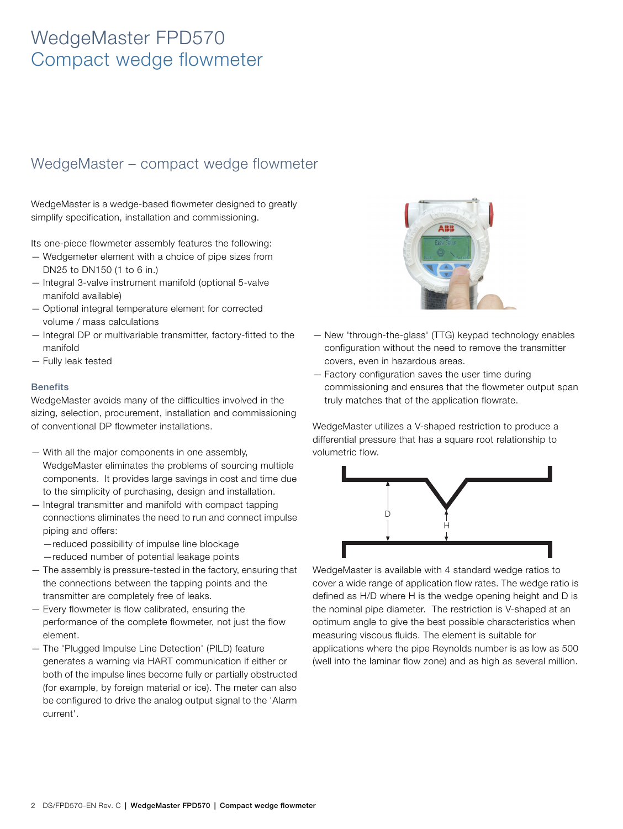### WedgeMaster – compact wedge flowmeter

WedgeMaster is a wedge-based flowmeter designed to greatly simplify specification, installation and commissioning.

Its one-piece flowmeter assembly features the following:

- Wedgemeter element with a choice of pipe sizes from DN25 to DN150 (1 to 6 in.)
- Integral 3-valve instrument manifold (optional 5-valve manifold available)
- Optional integral temperature element for corrected volume / mass calculations
- Integral DP or multivariable transmitter, factory-fitted to the manifold
- Fully leak tested

#### **Benefits**

WedgeMaster avoids many of the difficulties involved in the sizing, selection, procurement, installation and commissioning of conventional DP flowmeter installations.

- With all the major components in one assembly, WedgeMaster eliminates the problems of sourcing multiple components. It provides large savings in cost and time due to the simplicity of purchasing, design and installation.
- Integral transmitter and manifold with compact tapping connections eliminates the need to run and connect impulse piping and offers:
	- —reduced possibility of impulse line blockage —reduced number of potential leakage points
- The assembly is pressure-tested in the factory, ensuring that the connections between the tapping points and the transmitter are completely free of leaks.
- Every flowmeter is flow calibrated, ensuring the performance of the complete flowmeter, not just the flow element.
- The 'Plugged Impulse Line Detection' (PILD) feature generates a warning via HART communication if either or both of the impulse lines become fully or partially obstructed (for example, by foreign material or ice). The meter can also be configured to drive the analog output signal to the 'Alarm current'.



- New 'through-the-glass' (TTG) keypad technology enables configuration without the need to remove the transmitter covers, even in hazardous areas.
- Factory configuration saves the user time during commissioning and ensures that the flowmeter output span truly matches that of the application flowrate.

WedgeMaster utilizes a V-shaped restriction to produce a differential pressure that has a square root relationship to volumetric flow.



WedgeMaster is available with 4 standard wedge ratios to cover a wide range of application flow rates. The wedge ratio is defined as H/D where H is the wedge opening height and D is the nominal pipe diameter. The restriction is V-shaped at an optimum angle to give the best possible characteristics when measuring viscous fluids. The element is suitable for applications where the pipe Reynolds number is as low as 500 (well into the laminar flow zone) and as high as several million.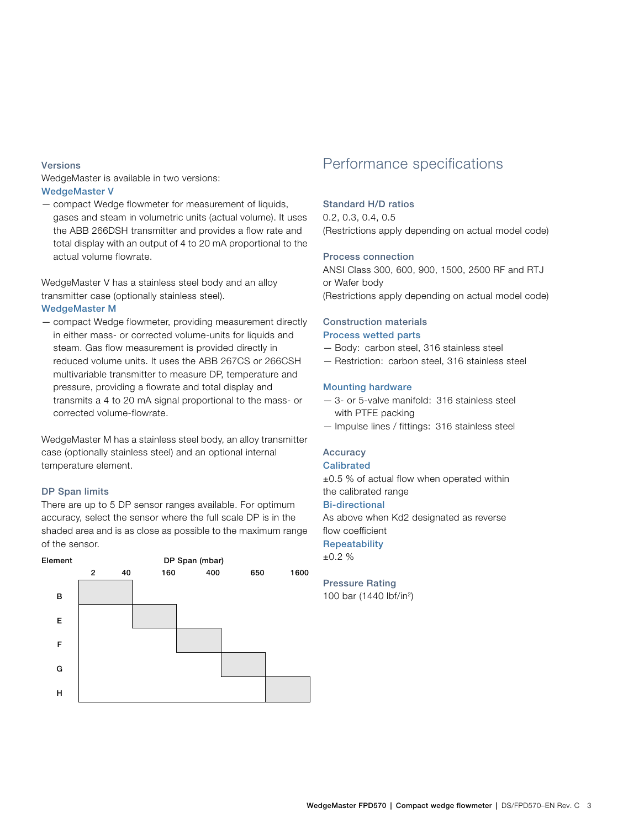#### **Versions**

WedgeMaster is available in two versions: **WedgeMaster V**

— compact Wedge flowmeter for measurement of liquids, gases and steam in volumetric units (actual volume). It uses the ABB 266DSH transmitter and provides a flow rate and total display with an output of 4 to 20 mA proportional to the actual volume flowrate.

WedgeMaster V has a stainless steel body and an alloy transmitter case (optionally stainless steel).

#### **WedgeMaster M**

— compact Wedge flowmeter, providing measurement directly in either mass- or corrected volume-units for liquids and steam. Gas flow measurement is provided directly in reduced volume units. It uses the ABB 267CS or 266CSH multivariable transmitter to measure DP, temperature and pressure, providing a flowrate and total display and transmits a 4 to 20 mA signal proportional to the mass- or corrected volume-flowrate.

WedgeMaster M has a stainless steel body, an alloy transmitter case (optionally stainless steel) and an optional internal temperature element.

#### **DP Span limits**

There are up to 5 DP sensor ranges available. For optimum accuracy, select the sensor where the full scale DP is in the shaded area and is as close as possible to the maximum range of the sensor.



### Performance specifications

#### **Standard H/D ratios**

0.2, 0.3, 0.4, 0.5 (Restrictions apply depending on actual model code)

#### **Process connection**

ANSI Class 300, 600, 900, 1500, 2500 RF and RTJ or Wafer body (Restrictions apply depending on actual model code)

#### **Construction materials Process wetted parts**

- Body: carbon steel, 316 stainless steel
- Restriction: carbon steel, 316 stainless steel

#### **Mounting hardware**

- 3- or 5-valve manifold: 316 stainless steel with PTFE packing
- Impulse lines / fittings: 316 stainless steel

#### **Accuracy Calibrated**

±0.5 % of actual flow when operated within the calibrated range

#### **Bi-directional**

As above when Kd2 designated as reverse flow coefficient

### **Repeatability**

±0.2 %

#### **Pressure Rating**

100 bar (1440 lbf/in2)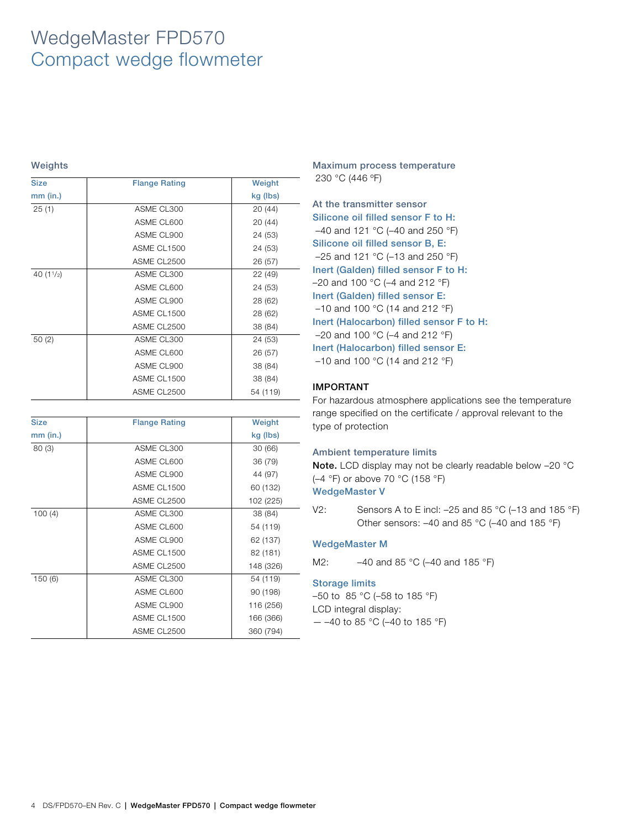| <b>Size</b> | <b>Flange Rating</b> | Weight   |
|-------------|----------------------|----------|
| $mm$ (in.)  |                      | kg (lbs) |
| 25(1)       | ASME CL300           | 20 (44)  |
|             | ASME CL600           | 20 (44)  |
|             | ASME CL900           | 24 (53)  |
|             | ASME CL1500          | 24 (53)  |
|             | ASME CL2500          | 26 (57)  |
| 40 $(11/2)$ | ASME CL300           | 22 (49)  |
|             | ASME CL600           | 24 (53)  |
|             | ASME CL900           | 28 (62)  |
|             | ASME CL1500          | 28 (62)  |
|             | ASME CL2500          | 38 (84)  |
| 50(2)       | ASME CL300           | 24 (53)  |
|             | ASME CL600           | 26 (57)  |
|             | ASME CL900           | 38 (84)  |
|             | ASME CL1500          | 38 (84)  |
|             | ASME CL2500          | 54 (119) |

| <b>Size</b> | <b>Flange Rating</b> | Weight    |
|-------------|----------------------|-----------|
| $mm$ (in.)  |                      | kg (lbs)  |
| 80(3)       | ASME CL300           | 30(66)    |
|             | ASME CL600           | 36 (79)   |
|             | ASME CL900           | 44 (97)   |
|             | ASME CL1500          | 60 (132)  |
|             | ASME CL2500          | 102 (225) |
| 100(4)      | ASME CL300           | 38 (84)   |
|             | ASME CL600           | 54 (119)  |
|             | ASME CL900           | 62 (137)  |
|             | ASME CL1500          | 82 (181)  |
|             | ASME CL2500          | 148 (326) |
| 150 (6)     | ASME CL300           | 54 (119)  |
|             | ASME CL600           | 90 (198)  |
|             | ASME CL900           | 116 (256) |
|             | ASME CL1500          | 166 (366) |
|             | ASME CL2500          | 360 (794) |

Weights **Maximum process temperature** 230 °C (446 ºF)

> **At the transmitter sensor Silicone oil filled sensor F to H:** –40 and 121 °C (–40 and 250 °F) **Silicone oil filled sensor B, E:** –25 and 121 °C (–13 and 250 °F) **Inert (Galden) filled sensor F to H:** –20 and 100 °C (–4 and 212 °F) **Inert (Galden) filled sensor E:**  $-10$  and 100 °C (14 and 212 °F) **Inert (Halocarbon) filled sensor F to H:** –20 and 100 °C (–4 and 212 °F) **Inert (Halocarbon) filled sensor E:** –10 and 100 °C (14 and 212 °F)

#### **IMPORTANT**

For hazardous atmosphere applications see the temperature range specified on the certificate / approval relevant to the type of protection

#### **Ambient temperature limits**

**Note.** LCD display may not be clearly readable below –20 °C (–4 °F) or above 70 °C (158 °F)

#### **WedgeMaster V**

V2: Sensors A to E incl: –25 and 85 °C (–13 and 185 °F) Other sensors: –40 and 85 °C (–40 and 185 °F)

#### **WedgeMaster M**

M2: –40 and 85 °C (–40 and 185 °F)

#### **Storage limits**

–50 to 85 °C (–58 to 185 °F) LCD integral display:  $-$  –40 to 85 °C (–40 to 185 °F)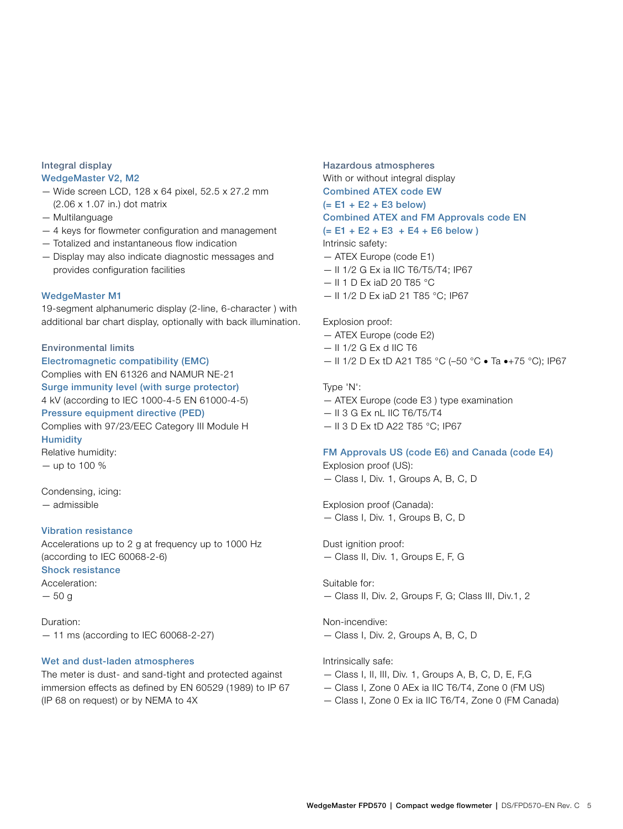#### **Integral display WedgeMaster V2, M2**

- Wide screen LCD, 128 x 64 pixel, 52.5 x 27.2 mm (2.06 x 1.07 in.) dot matrix
- Multilanguage
- 4 keys for flowmeter configuration and management
- Totalized and instantaneous flow indication
- Display may also indicate diagnostic messages and provides configuration facilities

#### **WedgeMaster M1**

19-segment alphanumeric display (2-line, 6-character ) with additional bar chart display, optionally with back illumination.

#### **Environmental limits**

**Electromagnetic compatibility (EMC)** Complies with EN 61326 and NAMUR NE-21 **Surge immunity level (with surge protector)** 4 kV (according to IEC 1000-4-5 EN 61000-4-5) **Pressure equipment directive (PED)** Complies with 97/23/EEC Category III Module H **Humidity** Relative humidity: — up to 100 %

Condensing, icing: — admissible

#### **Vibration resistance**

Accelerations up to 2 g at frequency up to 1000 Hz (according to IEC 60068-2-6) **Shock resistance** Acceleration: — 50 g

Duration: — 11 ms (according to IEC 60068-2-27)

#### **Wet and dust-laden atmospheres**

The meter is dust- and sand-tight and protected against immersion effects as defined by EN 60529 (1989) to IP 67 (IP 68 on request) or by NEMA to 4X

**Hazardous atmospheres** With or without integral display

### **Combined ATEX code EW**

**(= E1 + E2 + E3 below) Combined ATEX and FM Approvals code EN**

**(= E1 + E2 + E3 + E4 + E6 below )**

Intrinsic safety:

- ATEX Europe (code E1)
- II 1/2 G Ex ia IIC T6/T5/T4; IP67
- II 1 D Ex iaD 20 T85 °C
- II 1/2 D Ex iaD 21 T85 °C; IP67

#### Explosion proof:

- ATEX Europe (code E2)
- $-$  II 1/2 G Ex d IIC T6
- II 1/2 D Ex tD A21 T85 °C (-50 °C  $\bullet$  Ta  $\bullet$ +75 °C); IP67

#### Type 'N':

- ATEX Europe (code E3 ) type examination
- II 3 G Ex nL IIC T6/T5/T4
- II 3 D Ex tD A22 T85 °C; IP67

#### **FM Approvals US (code E6) and Canada (code E4)**

Explosion proof (US):

— Class I, Div. 1, Groups A, B, C, D

Explosion proof (Canada): — Class I, Div. 1, Groups B, C, D

Dust ignition proof:

— Class II, Div. 1, Groups E, F, G

#### Suitable for:

— Class II, Div. 2, Groups F, G; Class III, Div.1, 2

Non-incendive:

— Class I, Div. 2, Groups A, B, C, D

#### Intrinsically safe:

- Class I, II, III, Div. 1, Groups A, B, C, D, E, F,G
- Class I, Zone 0 AEx ia IIC T6/T4, Zone 0 (FM US)
- Class I, Zone 0 Ex ia IIC T6/T4, Zone 0 (FM Canada)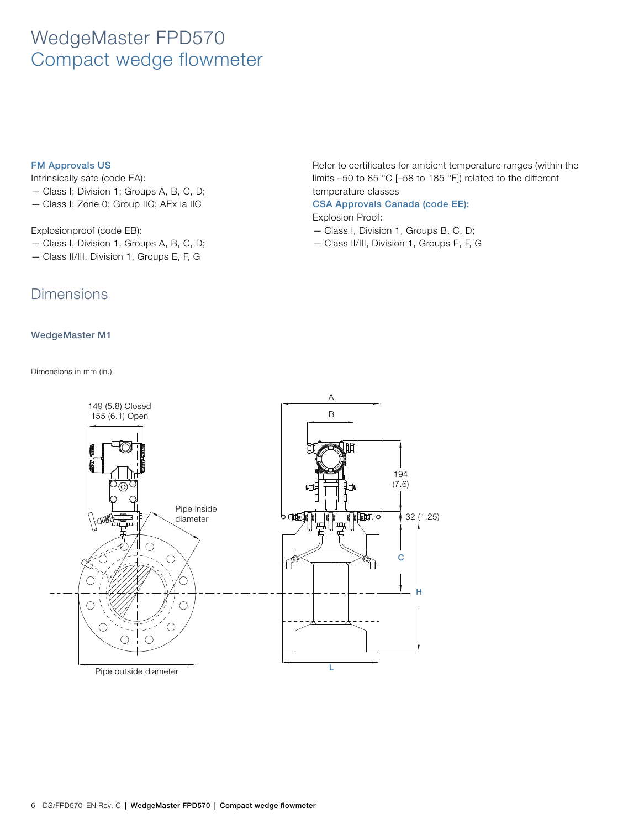#### **FM Approvals US**

Intrinsically safe (code EA):

- Class I; Division 1; Groups A, B, C, D;
- Class I; Zone 0; Group IIC; AEx ia IIC

#### Explosionproof (code EB):

- Class I, Division 1, Groups A, B, C, D;
- Class II/III, Division 1, Groups E, F, G

### **Dimensions**

#### **WedgeMaster M1**

Dimensions in mm (in.)

Refer to certificates for ambient temperature ranges (within the limits –50 to 85 °C [–58 to 185 °F]) related to the different temperature classes

#### **CSA Approvals Canada (code EE):**

#### Explosion Proof:

- Class I, Division 1, Groups B, C, D;
- Class II/III, Division 1, Groups E, F, G

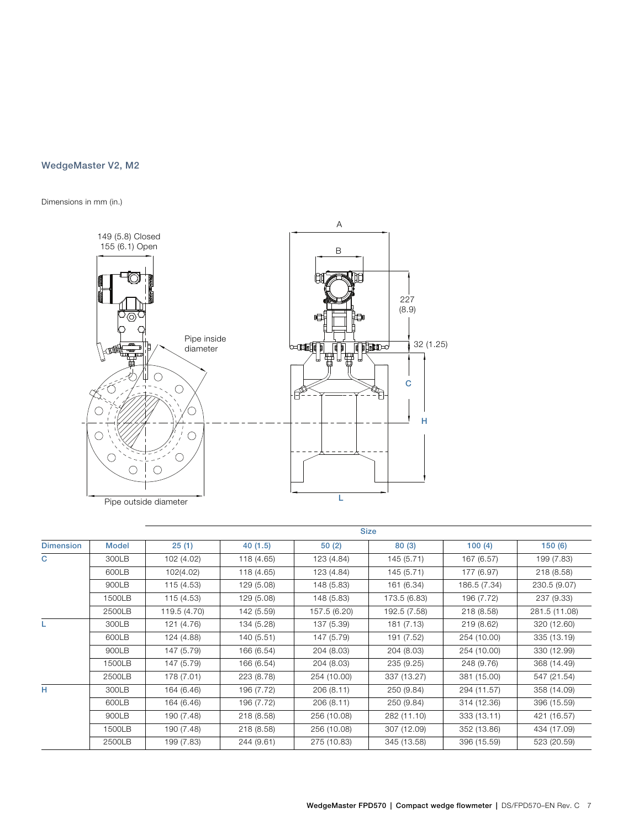### **WedgeMaster V2, M2**

Dimensions in mm (in.)



|                  |              |              |            |              | <b>Size</b>  |              |               |
|------------------|--------------|--------------|------------|--------------|--------------|--------------|---------------|
| <b>Dimension</b> | <b>Model</b> | 25(1)        | 40(1.5)    | 50(2)        | 80(3)        | 100(4)       | 150(6)        |
| C                | 300LB        | 102 (4.02)   | 118 (4.65) | 123 (4.84)   | 145 (5.71)   | 167 (6.57)   | 199 (7.83)    |
|                  | 600LB        | 102(4.02)    | 118 (4.65) | 123 (4.84)   | 145 (5.71)   | 177 (6.97)   | 218 (8.58)    |
|                  | 900LB        | 115 (4.53)   | 129 (5.08) | 148 (5.83)   | 161 (6.34)   | 186.5 (7.34) | 230.5 (9.07)  |
|                  | 1500LB       | 115 (4.53)   | 129 (5.08) | 148 (5.83)   | 173.5 (6.83) | 196 (7.72)   | 237 (9.33)    |
|                  | 2500LB       | 119.5 (4.70) | 142 (5.59) | 157.5 (6.20) | 192.5 (7.58) | 218 (8.58)   | 281.5 (11.08) |
| L                | 300LB        | 121 (4.76)   | 134 (5.28) | 137 (5.39)   | 181 (7.13)   | 219 (8.62)   | 320 (12.60)   |
|                  | 600LB        | 124 (4.88)   | 140 (5.51) | 147 (5.79)   | 191 (7.52)   | 254 (10.00)  | 335 (13.19)   |
|                  | 900LB        | 147 (5.79)   | 166 (6.54) | 204 (8.03)   | 204 (8.03)   | 254 (10.00)  | 330 (12.99)   |
|                  | 1500LB       | 147 (5.79)   | 166 (6.54) | 204 (8.03)   | 235 (9.25)   | 248 (9.76)   | 368 (14.49)   |
|                  | 2500LB       | 178 (7.01)   | 223 (8.78) | 254 (10.00)  | 337 (13.27)  | 381 (15.00)  | 547 (21.54)   |
| н                | 300LB        | 164 (6.46)   | 196 (7.72) | 206(8.11)    | 250 (9.84)   | 294 (11.57)  | 358 (14.09)   |
|                  | 600LB        | 164 (6.46)   | 196 (7.72) | 206 (8.11)   | 250 (9.84)   | 314 (12.36)  | 396 (15.59)   |
|                  | 900LB        | 190 (7.48)   | 218 (8.58) | 256 (10.08)  | 282 (11.10)  | 333 (13.11)  | 421 (16.57)   |
|                  | 1500LB       | 190 (7.48)   | 218 (8.58) | 256 (10.08)  | 307 (12.09)  | 352 (13.86)  | 434 (17.09)   |
|                  | 2500LB       | 199 (7.83)   | 244 (9.61) | 275 (10.83)  | 345 (13.58)  | 396 (15.59)  | 523 (20.59)   |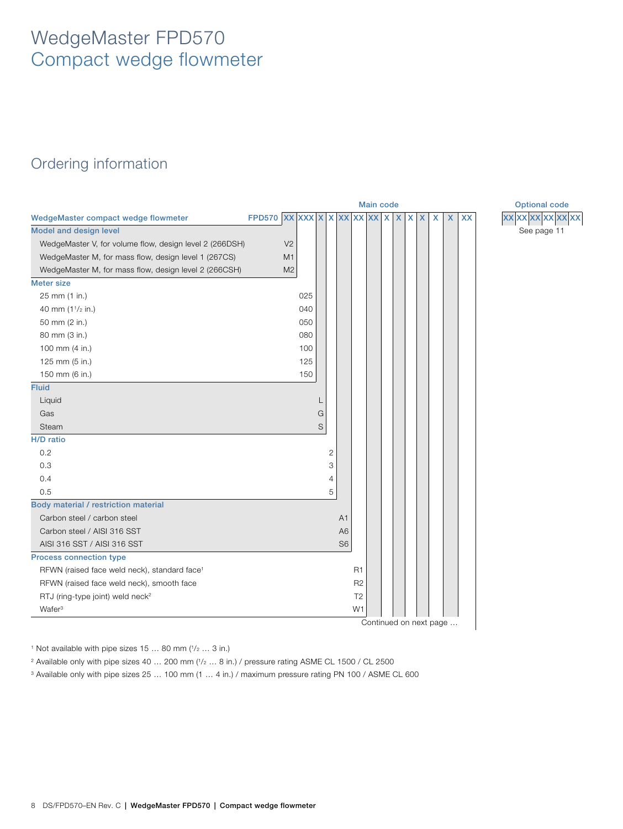### Ordering information

<span id="page-7-0"></span>

|                                                          |                                |                |   |              |                |                | <b>Main code</b>       |   |    |   |   |                           |           | <b>Optional code</b> |
|----------------------------------------------------------|--------------------------------|----------------|---|--------------|----------------|----------------|------------------------|---|----|---|---|---------------------------|-----------|----------------------|
| WedgeMaster compact wedge flowmeter                      | FPD570 XX XX X X X X X X X X X |                |   |              |                |                |                        | X | X. | X | X | $\boldsymbol{\mathsf{X}}$ | <b>XX</b> | <b>XXXXXXXXXXX</b>   |
| <b>Model and design level</b>                            |                                |                |   |              |                |                |                        |   |    |   |   |                           |           | See page 11          |
| WedgeMaster V, for volume flow, design level 2 (266DSH)  |                                | V <sub>2</sub> |   |              |                |                |                        |   |    |   |   |                           |           |                      |
| WedgeMaster M, for mass flow, design level 1 (267CS)     |                                | M <sub>1</sub> |   |              |                |                |                        |   |    |   |   |                           |           |                      |
| WedgeMaster M, for mass flow, design level 2 (266CSH)    |                                | M <sub>2</sub> |   |              |                |                |                        |   |    |   |   |                           |           |                      |
| <b>Meter size</b>                                        |                                |                |   |              |                |                |                        |   |    |   |   |                           |           |                      |
| 25 mm (1 in.)                                            |                                | 025            |   |              |                |                |                        |   |    |   |   |                           |           |                      |
| 40 mm (1 <sup>1</sup> /2 in.)                            |                                | 040            |   |              |                |                |                        |   |    |   |   |                           |           |                      |
| 50 mm (2 in.)                                            |                                | 050            |   |              |                |                |                        |   |    |   |   |                           |           |                      |
| 80 mm (3 in.)                                            |                                | 080            |   |              |                |                |                        |   |    |   |   |                           |           |                      |
| 100 mm (4 in.)                                           |                                | 100            |   |              |                |                |                        |   |    |   |   |                           |           |                      |
| 125 mm (5 in.)                                           |                                | 125            |   |              |                |                |                        |   |    |   |   |                           |           |                      |
| 150 mm (6 in.)                                           |                                | 150            |   |              |                |                |                        |   |    |   |   |                           |           |                      |
| <b>Fluid</b>                                             |                                |                |   |              |                |                |                        |   |    |   |   |                           |           |                      |
| Liquid                                                   |                                |                |   |              |                |                |                        |   |    |   |   |                           |           |                      |
| Gas                                                      |                                |                | G |              |                |                |                        |   |    |   |   |                           |           |                      |
| Steam                                                    |                                |                | S |              |                |                |                        |   |    |   |   |                           |           |                      |
| H/D ratio                                                |                                |                |   |              |                |                |                        |   |    |   |   |                           |           |                      |
| 0.2                                                      |                                |                |   | $\mathbf{2}$ |                |                |                        |   |    |   |   |                           |           |                      |
| 0.3                                                      |                                |                |   | 3            |                |                |                        |   |    |   |   |                           |           |                      |
| 0.4                                                      |                                |                |   | 4            |                |                |                        |   |    |   |   |                           |           |                      |
| 0.5                                                      |                                |                |   | 5            |                |                |                        |   |    |   |   |                           |           |                      |
| Body material / restriction material                     |                                |                |   |              |                |                |                        |   |    |   |   |                           |           |                      |
| Carbon steel / carbon steel                              |                                |                |   |              | A <sub>1</sub> |                |                        |   |    |   |   |                           |           |                      |
| Carbon steel / AISI 316 SST                              |                                |                |   |              | A <sub>6</sub> |                |                        |   |    |   |   |                           |           |                      |
| AISI 316 SST / AISI 316 SST                              |                                |                |   |              | S <sub>6</sub> |                |                        |   |    |   |   |                           |           |                      |
| Process connection type                                  |                                |                |   |              |                |                |                        |   |    |   |   |                           |           |                      |
| RFWN (raised face weld neck), standard face <sup>1</sup> |                                |                |   |              |                | R <sub>1</sub> |                        |   |    |   |   |                           |           |                      |
| RFWN (raised face weld neck), smooth face                |                                |                |   |              |                | R <sub>2</sub> |                        |   |    |   |   |                           |           |                      |
| RTJ (ring-type joint) weld neck <sup>2</sup>             |                                |                |   |              |                | T <sub>2</sub> |                        |   |    |   |   |                           |           |                      |
| Wafer <sup>3</sup>                                       |                                |                |   |              |                | W1             |                        |   |    |   |   |                           |           |                      |
|                                                          |                                |                |   |              |                |                | Continued on next page |   |    |   |   |                           |           |                      |

**WedgeMaster compact wedge flowmeter FPD570 XX XXX X X XX XX XX X X X X X X XX XX XX XX XX XX XX**

 $1$  Not available with pipe sizes 15 ... 80 mm ( $1/2$  ... 3 in.)

<sup>2</sup> Available only with pipe sizes 40 ... 200 mm (1/2 ... 8 in.) / pressure rating ASME CL 1500 / CL 2500

<sup>3</sup> Available only with pipe sizes 25 … 100 mm (1 … 4 in.) / maximum pressure rating PN 100 / ASME CL 600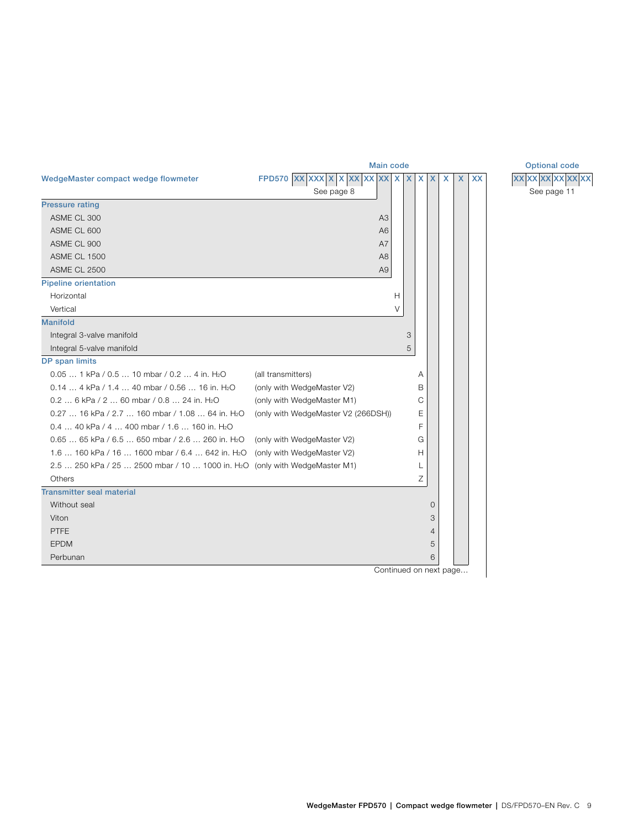<span id="page-8-0"></span>

|                                                                                         | <b>Main code</b>                     | <b>Optional code</b> |   |   |         |              |                           |           |                    |  |
|-----------------------------------------------------------------------------------------|--------------------------------------|----------------------|---|---|---------|--------------|---------------------------|-----------|--------------------|--|
| WedgeMaster compact wedge flowmeter                                                     | FPD570 $ XX XXX X X XX XX XX XX X X$ |                      |   |   | $X$ $X$ | $\mathsf{x}$ | $\boldsymbol{\mathsf{X}}$ | <b>XX</b> | <b>XXXXXXXXXXX</b> |  |
|                                                                                         | See page 8                           |                      |   |   |         |              |                           |           | See page 11        |  |
| <b>Pressure rating</b>                                                                  |                                      |                      |   |   |         |              |                           |           |                    |  |
| ASME CL 300                                                                             | A <sub>3</sub>                       |                      |   |   |         |              |                           |           |                    |  |
| ASME CL 600                                                                             | A <sub>6</sub>                       |                      |   |   |         |              |                           |           |                    |  |
| ASME CL 900                                                                             | A7                                   |                      |   |   |         |              |                           |           |                    |  |
| <b>ASME CL 1500</b>                                                                     | A <sub>8</sub>                       |                      |   |   |         |              |                           |           |                    |  |
| <b>ASME CL 2500</b>                                                                     | A <sub>9</sub>                       |                      |   |   |         |              |                           |           |                    |  |
| <b>Pipeline orientation</b>                                                             |                                      |                      |   |   |         |              |                           |           |                    |  |
| Horizontal                                                                              |                                      | н                    |   |   |         |              |                           |           |                    |  |
| Vertical                                                                                |                                      | V                    |   |   |         |              |                           |           |                    |  |
| <b>Manifold</b>                                                                         |                                      |                      |   |   |         |              |                           |           |                    |  |
| Integral 3-valve manifold                                                               |                                      |                      | 3 |   |         |              |                           |           |                    |  |
| Integral 5-valve manifold                                                               |                                      |                      | 5 |   |         |              |                           |           |                    |  |
| DP span limits                                                                          |                                      |                      |   |   |         |              |                           |           |                    |  |
| $0.05$ 1 kPa / 0.5  10 mbar / 0.2  4 in, H <sub>2</sub> O                               | (all transmitters)                   |                      |   | Α |         |              |                           |           |                    |  |
| 0.14  4 kPa / 1.4  40 mbar / 0.56  16 in. H <sub>2</sub> O                              | (only with WedgeMaster V2)           |                      |   | B |         |              |                           |           |                    |  |
| 0.2  6 kPa / 2  60 mbar / 0.8  24 in. H <sub>2</sub> O                                  | (only with WedgeMaster M1)           |                      |   | С |         |              |                           |           |                    |  |
| 0.27  16 kPa / 2.7  160 mbar / 1.08  64 in. H <sub>2</sub> O                            | (only with WedgeMaster V2 (266DSH))  |                      |   | Ε |         |              |                           |           |                    |  |
| 0.4  40 kPa / 4  400 mbar / 1.6  160 in. H <sub>2</sub> O                               |                                      |                      |   | F |         |              |                           |           |                    |  |
| 0.65  65 kPa / 6.5  650 mbar / 2.6  260 in. H <sub>2</sub> O                            | (only with WedgeMaster V2)           |                      |   | G |         |              |                           |           |                    |  |
| 1.6  160 kPa / 16  1600 mbar / 6.4  642 in. H <sub>2</sub> O                            | (only with WedgeMaster V2)           |                      |   | H |         |              |                           |           |                    |  |
| 2.5  250 kPa / 25  2500 mbar / 10  1000 in. H <sub>2</sub> O (only with WedgeMaster M1) |                                      |                      |   | L |         |              |                           |           |                    |  |
| Others                                                                                  |                                      |                      |   | Ζ |         |              |                           |           |                    |  |
| <b>Transmitter seal material</b>                                                        |                                      |                      |   |   |         |              |                           |           |                    |  |
| Without seal                                                                            |                                      |                      |   |   | 0       |              |                           |           |                    |  |
| Viton                                                                                   |                                      |                      |   |   | 3       |              |                           |           |                    |  |
| <b>PTFE</b>                                                                             |                                      |                      |   |   | 4       |              |                           |           |                    |  |
| <b>EPDM</b>                                                                             |                                      |                      |   |   | 5       |              |                           |           |                    |  |
| Perbunan                                                                                |                                      |                      |   |   | 6       |              |                           |           |                    |  |
|                                                                                         | Continued on next page               |                      |   |   |         |              |                           |           |                    |  |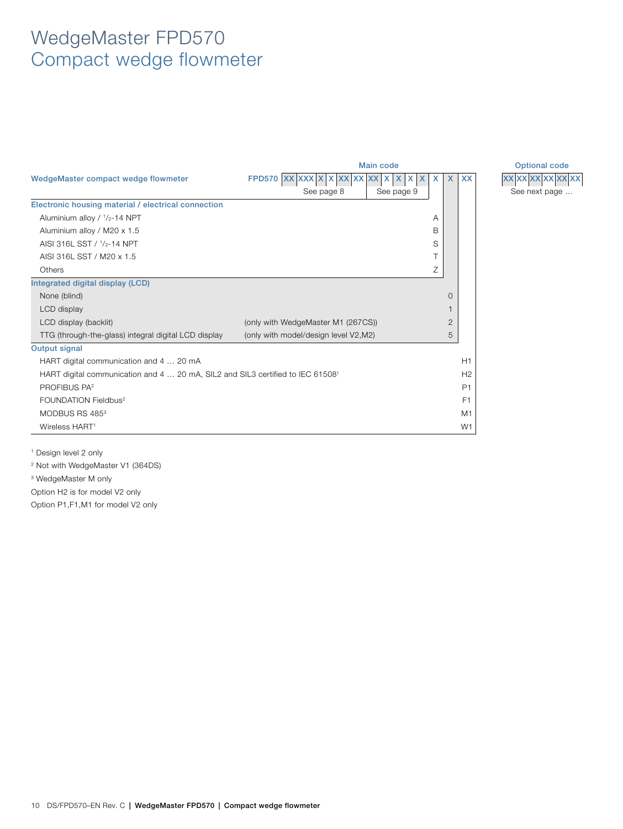<span id="page-9-0"></span>

|                                                                                            | <b>Main code</b>                             | <b>Optional code</b> |                |                |
|--------------------------------------------------------------------------------------------|----------------------------------------------|----------------------|----------------|----------------|
| WedgeMaster compact wedge flowmeter                                                        | XX XX<br><b>FPD570 XX</b><br><b>XX</b><br>X. | X<br><b>XX</b>       | <b>XX</b><br>X | XX XX XX XX XX |
|                                                                                            | See page 8                                   | See page 9           |                | See next page. |
| Electronic housing material / electrical connection                                        |                                              |                      |                |                |
| Aluminium alloy / 1/2-14 NPT                                                               |                                              | A                    |                |                |
| Aluminium alloy / M20 x 1.5                                                                |                                              | B                    |                |                |
| AISI 316L SST / 1/2-14 NPT                                                                 |                                              | S                    |                |                |
| AISI 316L SST / M20 x 1.5                                                                  |                                              |                      |                |                |
| Others                                                                                     |                                              | Ζ                    |                |                |
| Integrated digital display (LCD)                                                           |                                              |                      |                |                |
| None (blind)                                                                               |                                              |                      | $\Omega$       |                |
| LCD display                                                                                |                                              |                      |                |                |
| LCD display (backlit)                                                                      | (only with WedgeMaster M1 (267CS))           |                      | $\overline{2}$ |                |
| TTG (through-the-glass) integral digital LCD display                                       | (only with model/design level V2,M2)         |                      | 5              |                |
| Output signal                                                                              |                                              |                      |                |                |
| HART digital communication and 4  20 mA                                                    |                                              |                      | H1             |                |
| HART digital communication and 4  20 mA, SIL2 and SIL3 certified to IEC 61508 <sup>1</sup> |                                              |                      | H <sub>2</sub> |                |
| PROFIBUS PA <sup>2</sup>                                                                   |                                              |                      | P <sub>1</sub> |                |
| FOUNDATION Fieldbus <sup>2</sup>                                                           |                                              |                      | F <sub>1</sub> |                |
| MODBUS RS 485 <sup>3</sup>                                                                 |                                              |                      | M1             |                |
| Wireless HART <sup>1</sup>                                                                 |                                              |                      | W1             |                |

See next page ...  $\frac{1}{2}$  **XX**  $\frac{1}{2}$  **XX**  $\frac{1}{2}$  **XX**  $\frac{1}{2}$  **XX**  $\frac{1}{2}$  **XX** 

<sup>1</sup> Design level 2 only

<sup>2</sup> Not with WedgeMaster V1 (364DS)

<sup>3</sup> WedgeMaster M only

Option H2 is for model V2 only

Option P1,F1,M1 for model V2 only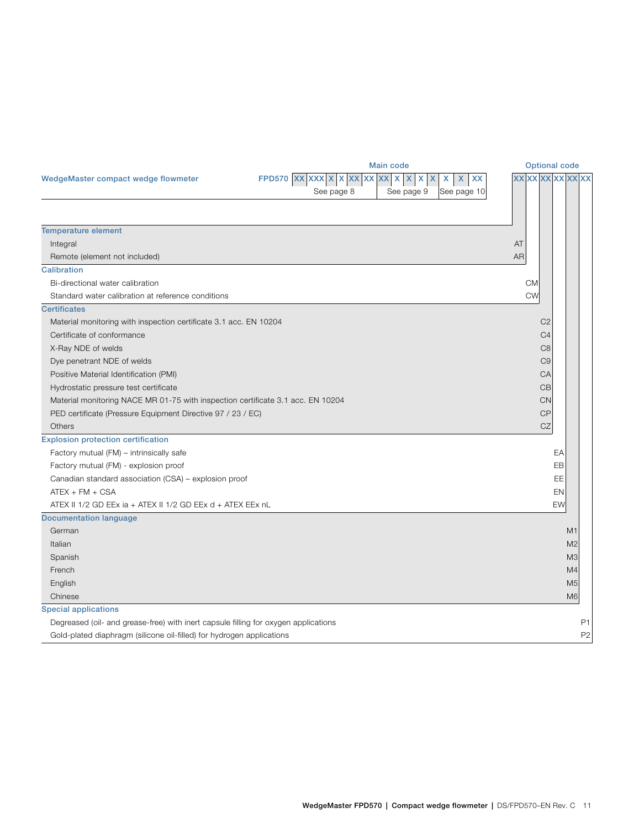<span id="page-10-0"></span>

|                                                                                     | <b>Main code</b>                                                            | <b>Optional code</b> |
|-------------------------------------------------------------------------------------|-----------------------------------------------------------------------------|----------------------|
| WedgeMaster compact wedge flowmeter                                                 | FPD570 $ XX XXX X X XX XX XX XX$<br>$\mathsf{X}$<br>XX<br>X<br>X<br>X.<br>X | <b>XXXXXXXXXXXXX</b> |
|                                                                                     | See page 8<br>See page 10<br>See page 9                                     |                      |
|                                                                                     |                                                                             |                      |
|                                                                                     |                                                                             |                      |
| <b>Temperature element</b><br>Integral                                              |                                                                             | AT                   |
| Remote (element not included)                                                       |                                                                             | <b>AR</b>            |
| <b>Calibration</b>                                                                  |                                                                             |                      |
| Bi-directional water calibration                                                    |                                                                             | <b>CM</b>            |
| Standard water calibration at reference conditions                                  |                                                                             | <b>CW</b>            |
| <b>Certificates</b>                                                                 |                                                                             |                      |
| Material monitoring with inspection certificate 3.1 acc. EN 10204                   |                                                                             | C <sub>2</sub>       |
| Certificate of conformance                                                          |                                                                             | C <sub>4</sub>       |
| X-Ray NDE of welds                                                                  |                                                                             | C <sub>8</sub>       |
| Dye penetrant NDE of welds                                                          |                                                                             | C <sub>9</sub>       |
| Positive Material Identification (PMI)                                              |                                                                             | CA                   |
| Hydrostatic pressure test certificate                                               |                                                                             | CB                   |
| Material monitoring NACE MR 01-75 with inspection certificate 3.1 acc. EN 10204     |                                                                             | <b>CN</b>            |
| PED certificate (Pressure Equipment Directive 97 / 23 / EC)                         |                                                                             | <b>CP</b>            |
| Others                                                                              |                                                                             | $C\mathbb{Z}$        |
| <b>Explosion protection certification</b>                                           |                                                                             |                      |
| Factory mutual (FM) - intrinsically safe                                            |                                                                             | EA                   |
| Factory mutual (FM) - explosion proof                                               |                                                                             | EB                   |
| Canadian standard association (CSA) - explosion proof                               |                                                                             | EE                   |
| $ATEX + FM + CSA$                                                                   |                                                                             | EN                   |
| ATEX II 1/2 GD EEx ia + ATEX II 1/2 GD EEx d + ATEX EEx nL                          |                                                                             | <b>EW</b>            |
| <b>Documentation language</b>                                                       |                                                                             |                      |
| German                                                                              |                                                                             | M1                   |
| Italian                                                                             |                                                                             | M <sub>2</sub>       |
| Spanish                                                                             |                                                                             | M <sub>3</sub>       |
| French                                                                              |                                                                             | M4                   |
| English                                                                             |                                                                             | M <sub>5</sub>       |
| Chinese                                                                             |                                                                             | M6                   |
| <b>Special applications</b>                                                         |                                                                             |                      |
| Degreased (oil- and grease-free) with inert capsule filling for oxygen applications |                                                                             | P <sub>1</sub>       |
| Gold-plated diaphragm (silicone oil-filled) for hydrogen applications               |                                                                             | P <sub>2</sub>       |